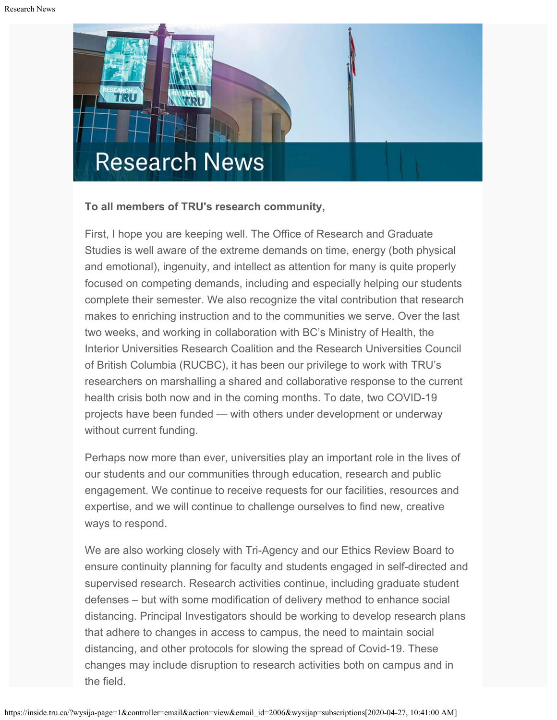

### **To all members of TRU's research community,**

First, I hope you are keeping well. The Office of Research and Graduate Studies is well aware of the extreme demands on time, energy (both physical and emotional), ingenuity, and intellect as attention for many is quite properly focused on competing demands, including and especially helping our students complete their semester. We also recognize the vital contribution that research makes to enriching instruction and to the communities we serve. Over the last two weeks, and working in collaboration with BC's Ministry of Health, the Interior Universities Research Coalition and the Research Universities Council of British Columbia (RUCBC), it has been our privilege to work with TRU's researchers on marshalling a shared and collaborative response to the current health crisis both now and in the coming months. To date, two COVID-19 projects have been funded — with others under development or underway without current funding.

Perhaps now more than ever, universities play an important role in the lives of our students and our communities through education, research and public engagement. We continue to receive requests for our facilities, resources and expertise, and we will continue to challenge ourselves to find new, creative ways to respond.

We are also working closely with Tri-Agency and our Ethics Review Board to ensure continuity planning for faculty and students engaged in self-directed and supervised research. Research activities continue, including graduate student defenses – but with some modification of delivery method to enhance social distancing. Principal Investigators should be working to develop research plans that adhere to changes in access to campus, the need to maintain social distancing, and other protocols for slowing the spread of Covid-19. These changes may include disruption to research activities both on campus and in the field.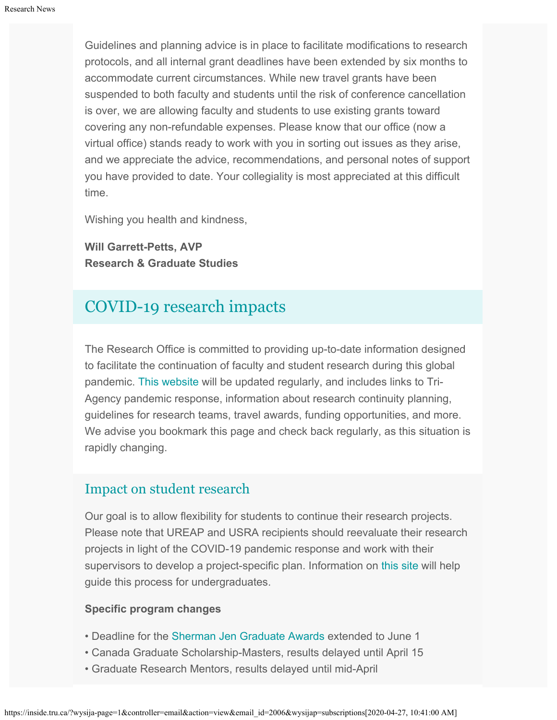Guidelines and planning advice is in place to facilitate modifications to research protocols, and all internal grant deadlines have been extended by six months to accommodate current circumstances. While new travel grants have been suspended to both faculty and students until the risk of conference cancellation is over, we are allowing faculty and students to use existing grants toward covering any non-refundable expenses. Please know that our office (now a virtual office) stands ready to work with you in sorting out issues as they arise, and we appreciate the advice, recommendations, and personal notes of support you have provided to date. Your collegiality is most appreciated at this difficult time.

Wishing you health and kindness,

**Will Garrett-Petts, AVP Research & Graduate Studies**

# [COVID-19 research impacts](https://www.tru.ca/research/covid-19-research-impacts.html)

The Research Office is committed to providing up-to-date information designed to facilitate the continuation of faculty and student research during this global pandemic. [This website](https://www.tru.ca/research/covid-19-research-impacts.html) will be updated regularly, and includes links to Tri-Agency pandemic response, information about research continuity planning, guidelines for research teams, travel awards, funding opportunities, and more. We advise you bookmark this page and check back regularly, as this situation is rapidly changing.

# [Impact on student research](https://www.tru.ca/research/undergraduate-research/covid-19-research-impacts.html)

Our goal is to allow flexibility for students to continue their research projects. Please note that UREAP and USRA recipients should reevaluate their research projects in light of the COVID-19 pandemic response and work with their supervisors to develop a project-specific plan. Information on [this site](https://www.tru.ca/research/undergraduate-research/covid-19-research-impacts.html) will help guide this process for undergraduates.

#### **Specific program changes**

- Deadline for the [Sherman Jen Graduate Awards](https://www.tru.ca/research/graduate-studies/graduate-studies-funding.html) extended to June 1
- Canada Graduate Scholarship-Masters, results delayed until April 15
- Graduate Research Mentors, results delayed until mid-April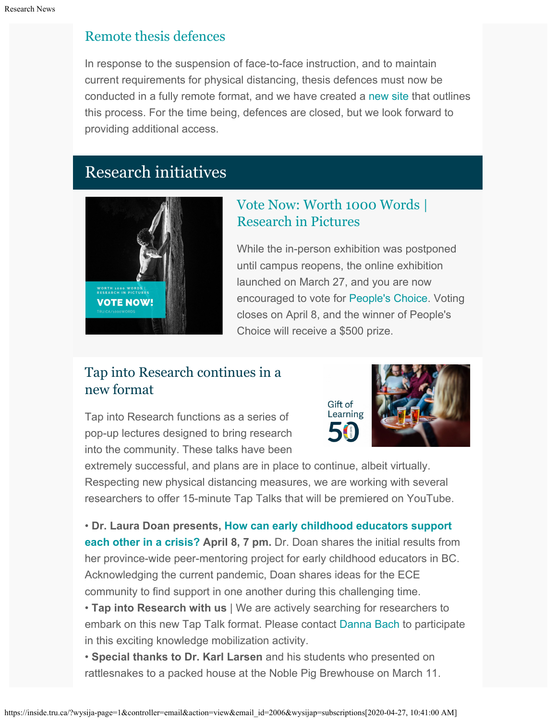# [Remote thesis defences](https://www.tru.ca/research/graduate-studies/remote-thesis-defence-procedures.html)

In response to the suspension of face-to-face instruction, and to maintain current requirements for physical distancing, thesis defences must now be conducted in a fully remote format, and we have created a [new site](https://www.tru.ca/research/graduate-studies/remote-thesis-defence-procedures.html) that outlines this process. For the time being, defences are closed, but we look forward to providing additional access.

# Research initiatives



# [Vote Now: Worth 1000 Words |](https://www.tru.ca/research/research-week/research-in-pictures/final-results.html) [Research in Pictures](https://www.tru.ca/research/research-week/research-in-pictures/final-results.html)

While the in-person exhibition was postponed until campus reopens, the online exhibition launched on March 27, and you are now encouraged to vote for [People's Choice](https://www.tru.ca/research/research-week/research-in-pictures/final-results.html). Voting closes on April 8, and the winner of People's Choice will receive a \$500 prize.

# Tap into Research continues in a new format

Tap into Research functions as a series of pop-up lectures designed to bring research into the community. These talks have been



extremely successful, and plans are in place to continue, albeit virtually. Respecting new physical distancing measures, we are working with several researchers to offer 15-minute Tap Talks that will be premiered on YouTube.

• **Dr. Laura Doan presents[, How can early childhood educators support](https://www.facebook.com/events/264962284533782/) [each other in a crisis?](https://www.facebook.com/events/264962284533782/) April 8, 7 pm.** Dr. Doan shares the initial results from her province-wide peer-mentoring project for early childhood educators in BC. Acknowledging the current pandemic, Doan shares ideas for the ECE community to find support in one another during this challenging time.

• **Tap into Research with us** | We are actively searching for researchers to embark on this new Tap Talk format. Please contact [Danna Bach](mailto:dbach@tru.ca) to participate in this exciting knowledge mobilization activity.

• **Special thanks to Dr. Karl Larsen** and his students who presented on rattlesnakes to a packed house at the Noble Pig Brewhouse on March 11.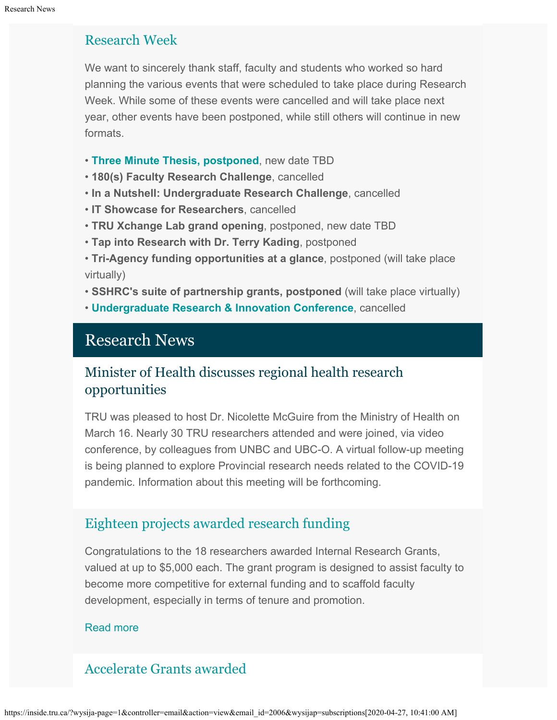# [Research Week](https://www.tru.ca/research/research-week.html)

We want to sincerely thank staff, faculty and students who worked so hard planning the various events that were scheduled to take place during Research Week. While some of these events were cancelled and will take place next year, other events have been postponed, while still others will continue in new formats.

- **[Three Minute Thesis, postponed](https://www.tru.ca/research/research-week/3mt.html)**, new date TBD
- **180(s) Faculty Research Challenge**, cancelled
- **In a Nutshell: Undergraduate Research Challenge**, cancelled
- **IT Showcase for Researchers**, cancelled
- **TRU Xchange Lab grand opening**, postponed, new date TBD
- **Tap into Research with Dr. Terry Kading**, postponed
- **Tri-Agency funding opportunities at a glance**, postponed (will take place virtually)
- **SSHRC's suite of partnership grants, postponed** (will take place virtually)
- **[Undergraduate Research & Innovation Conference](https://digitalcommons.library.tru.ca/urc/)**, cancelled

# Research News

# Minister of Health discusses regional health research opportunities

TRU was pleased to host Dr. Nicolette McGuire from the Ministry of Health on March 16. Nearly 30 TRU researchers attended and were joined, via video conference, by colleagues from UNBC and UBC-O. A virtual follow-up meeting is being planned to explore Provincial research needs related to the COVID-19 pandemic. Information about this meeting will be forthcoming.

# [Eighteen projects awarded research funding](http://inside.tru.ca/2020/04/02/eighteen-projects-awarded-research-funding/)

Congratulations to the 18 researchers awarded Internal Research Grants, valued at up to \$5,000 each. The grant program is designed to assist faculty to become more competitive for external funding and to scaffold faculty development, especially in terms of tenure and promotion.

#### [Read more](http://inside.tru.ca/2020/04/02/eighteen-projects-awarded-research-funding/)

# [Accelerate Grants awarded](https://www.tru.ca/research/research-services/research-services-faculty/faculty-research-funding/internal-opportunities.html)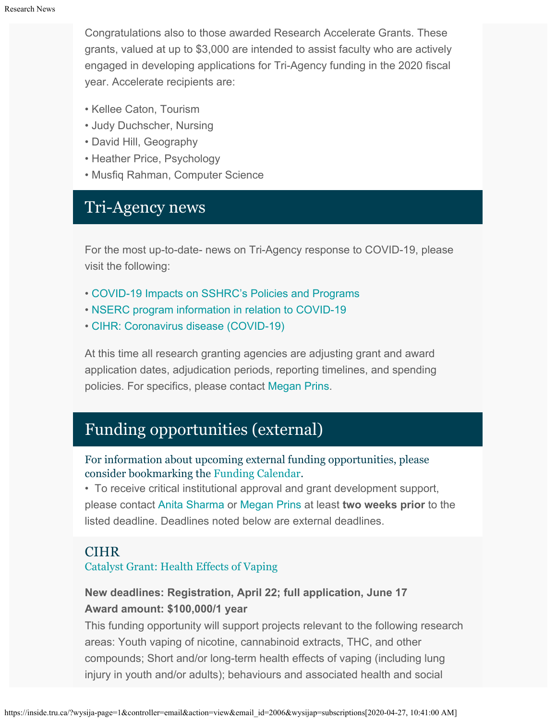Congratulations also to those awarded Research Accelerate Grants. These grants, valued at up to \$3,000 are intended to assist faculty who are actively engaged in developing applications for Tri-Agency funding in the 2020 fiscal year. Accelerate recipients are:

- Kellee Caton, Tourism
- Judy Duchscher, Nursing
- David Hill, Geography
- Heather Price, Psychology
- Musfiq Rahman, Computer Science

# Tri-Agency news

For the most up-to-date- news on Tri-Agency response to COVID-19, please visit the following:

- [COVID-19 Impacts on SSHRC's Policies and Programs](https://www.sshrc-crsh.gc.ca/news_room-salle_de_presse/covid-19-eng.aspx)
- [NSERC program information in relation to COVID-19](https://www.nserc-crsng.gc.ca/Media-Media/NewsRelease-CommuniqueDePresse_eng.asp?ID=1139)
- [CIHR: Coronavirus disease \(COVID-19\)](https://cihr-irsc.gc.ca/e/51917.html)

At this time all research granting agencies are adjusting grant and award application dates, adjudication periods, reporting timelines, and spending policies. For specifics, please contact [Megan Prins](mailto:mprins@tru.ca).

# Funding opportunities (external)

For information about upcoming external funding opportunities, please consider bookmarking the [Funding Calendar](https://www.tru.ca/research/research-services/research-services-faculty/faculty-research-funding/funding-deadlines.html).

• To receive critical institutional approval and grant development support, please contact [Anita Sharma](mailto:ansharma@tru.ca) or [Megan Prins](mailto:mprins@tru.ca) at least **two weeks prior** to the listed deadline. Deadlines noted below are external deadlines.

### **CIHR**

#### [Catalyst Grant: Health Effects of Vaping](https://www.researchnet-recherchenet.ca/rnr16/vwOpprtntyDtls.do?prog=3220&view=search&terms=vaping&type=EXACT&resultCount=25&next=1)

### **New deadlines: Registration, April 22; full application, June 17 Award amount: \$100,000/1 year**

This funding opportunity will support projects relevant to the following research areas: Youth vaping of nicotine, cannabinoid extracts, THC, and other compounds; Short and/or long-term health effects of vaping (including lung injury in youth and/or adults); behaviours and associated health and social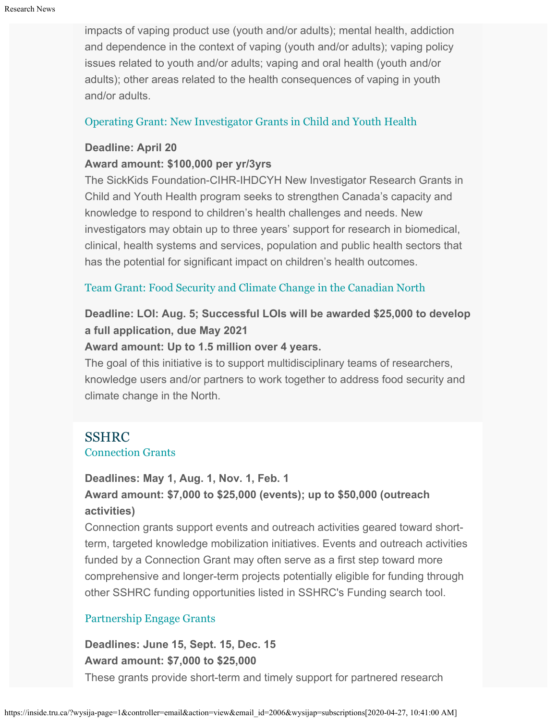impacts of vaping product use (youth and/or adults); mental health, addiction and dependence in the context of vaping (youth and/or adults); vaping policy issues related to youth and/or adults; vaping and oral health (youth and/or adults); other areas related to the health consequences of vaping in youth and/or adults.

### [Operating Grant: New Investigator Grants in Child and Youth Health](https://www.researchnet-recherchenet.ca/rnr16/vwOpprtntyDtls.do?prog=3206&view=search&incArc=true&launchMonth=12&launchYear=2019&type=EXACT&resultCount=25&next=1)

#### **Deadline: April 20**

#### **Award amount: \$100,000 per yr/3yrs**

The SickKids Foundation-CIHR-IHDCYH New Investigator Research Grants in Child and Youth Health program seeks to strengthen Canada's capacity and knowledge to respond to children's health challenges and needs. New investigators may obtain up to three years' support for research in biomedical, clinical, health systems and services, population and public health sectors that has the potential for significant impact on children's health outcomes.

### [Team Grant: Food Security and Climate Change in the Canadian North](https://www.researchnet-recherchenet.ca/rnr16/vwOpprtntyDtls.do?prog=3269&view=search&launchMonth=2&launchYear=2020&type=EXACT&resultCount=25&next=1)

# **Deadline: LOI: Aug. 5; Successful LOIs will be awarded \$25,000 to develop a full application, due May 2021**

#### **Award amount: Up to 1.5 million over 4 years.**

The goal of this initiative is to support multidisciplinary teams of researchers, knowledge users and/or partners to work together to address food security and climate change in the North.

# SSHRC

#### [Connection Grants](http://www.sshrc-crsh.gc.ca/funding-financement/programs-programmes/connection_grants-subventions_connexion-eng.aspx)

#### **Deadlines: May 1, Aug. 1, Nov. 1, Feb. 1**

## **Award amount: \$7,000 to \$25,000 (events); up to \$50,000 (outreach activities)**

Connection grants support events and outreach activities geared toward shortterm, targeted knowledge mobilization initiatives. Events and outreach activities funded by a Connection Grant may often serve as a first step toward more comprehensive and longer-term projects potentially eligible for funding through other SSHRC funding opportunities listed in SSHRC's Funding search tool.

### [Partnership Engage Grants](http://www.sshrc-crsh.gc.ca/funding-financement/programs-programmes/partnership_engage_grants-subventions_d_engagement_partenarial-eng.aspx)

# **Deadlines: June 15, Sept. 15, Dec. 15 Award amount: \$7,000 to \$25,000** These grants provide short-term and timely support for partnered research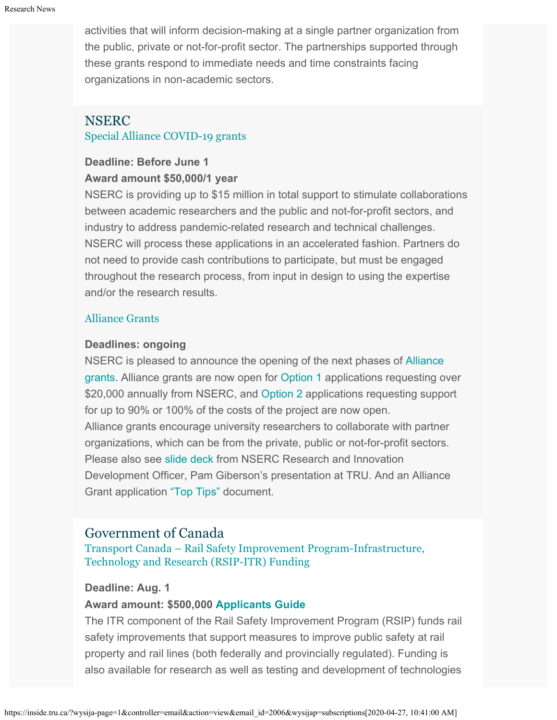activities that will inform decision-making at a single partner organization from the public, private or not-for-profit sector. The partnerships supported through these grants respond to immediate needs and time constraints facing organizations in non-academic sectors.

# NSERC [Special Alliance COVID-19 grants](https://www.nserc-crsng.gc.ca/Innovate-Innover/COVID-19/index_eng.asp)

### **Deadline: Before June 1 Award amount \$50,000/1 year**

NSERC is providing up to \$15 million in total support to stimulate collaborations between academic researchers and the public and not-for-profit sectors, and industry to address pandemic-related research and technical challenges. NSERC will process these applications in an accelerated fashion. Partners do not need to provide cash contributions to participate, but must be engaged throughout the research process, from input in design to using the expertise and/or the research results.

### [Alliance Grants](https://www.nserc-crsng.gc.ca/Innovate-Innover/alliance-alliance/index_eng.asp)

### **Deadlines: ongoing**

NSERC is pleased to announce the opening of the next phases of [Alliance](https://www.nserc-crsng.gc.ca/Innovate-Innover/alliance-alliance/index_eng.asp) [grants](https://www.nserc-crsng.gc.ca/Innovate-Innover/alliance-alliance/index_eng.asp). Alliance grants are now open for [Option 1](https://www.nserc-crsng.gc.ca/Innovate-Innover/alliance-alliance/funding-financement_eng.asp#option1) applications requesting over \$20,000 annually from NSERC, and [Option 2](https://www.nserc-crsng.gc.ca/Innovate-Innover/alliance-alliance/index_eng.asp) applications requesting support for up to 90% or 100% of the costs of the project are now open. Alliance grants encourage university researchers to collaborate with partner organizations, which can be from the private, public or not-for-profit sectors. Please also see [slide deck](https://one.tru.ca/sites/rgs/ToolsandResources/_layouts/15/WopiFrame.aspx?sourcedoc=/sites/rgs/ToolsandResources/Shared%20Documents/NSERC_ALLIANCE.pptx&action=default) from NSERC Research and Innovation Development Officer, Pam Giberson's presentation at TRU. And an Alliance Grant application ["Top Tips"](https://one.tru.ca/sites/rgs/ToolsandResources/_layouts/15/WopiFrame.aspx?sourcedoc=/sites/rgs/ToolsandResources/Shared%20Documents/Alliance%20Grant%20-%20Top%20Tips%20EN%20%20FR.pdf&action=default) document.

# Government of Canada

[Transport Canada – Rail Safety Improvement Program-Infrastructure,](https://www.tc.gc.ca/en/services/rail/apply-rsip-itr-funding.html) [Technology and Research \(RSIP-ITR\) Funding](https://www.tc.gc.ca/en/services/rail/apply-rsip-itr-funding.html)

### **Deadline: Aug. 1**

### **Award amount: \$500,000 [Applicants Guide](https://www.tc.gc.ca/en/services/rail/apply-rsip-itr-funding/rsip-itr-applicants-guide.html)**

The ITR component of the Rail Safety Improvement Program (RSIP) funds rail safety improvements that support measures to improve public safety at rail property and rail lines (both federally and provincially regulated). Funding is also available for research as well as testing and development of technologies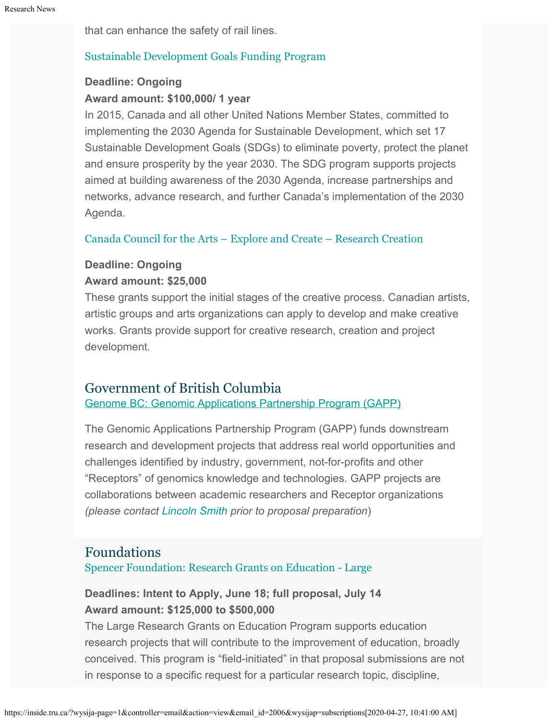that can enhance the safety of rail lines.

### [Sustainable Development Goals Funding Program](https://www.canada.ca/en/employment-social-development/services/funding/sustainable-development-goals.html)

### **Deadline: Ongoing Award amount: \$100,000/ 1 year**

In 2015, Canada and all other United Nations Member States, committed to implementing the 2030 Agenda for Sustainable Development, which set 17 Sustainable Development Goals (SDGs) to eliminate poverty, protect the planet and ensure prosperity by the year 2030. The SDG program supports projects aimed at building awareness of the 2030 Agenda, increase partnerships and networks, advance research, and further Canada's implementation of the 2030 Agenda.

#### [Canada Council for the Arts – Explore and Create – Research Creation](https://canadacouncil.ca/funding/grants/explore-and-create/research-and-creation)

#### **Deadline: Ongoing**

#### **Award amount: \$25,000**

These grants support the initial stages of the creative process. Canadian artists, artistic groups and arts organizations can apply to develop and make creative works. Grants provide support for creative research, creation and project development.

### Government of British Columbia

[Genome BC: Genomic Applications Partnership Program \(GAPP\)](https://www.genomebc.ca/funding-opportunity/genomic-applications-partnership-program-gapp)

The Genomic Applications Partnership Program (GAPP) funds downstream research and development projects that address real world opportunities and challenges identified by industry, government, not-for-profits and other "Receptors" of genomics knowledge and technologies. GAPP projects are collaborations between academic researchers and Receptor organizations *(please contact [Lincoln Smith](mailto:lsmith@tru.ca) prior to proposal preparation*)

# Foundations

[Spencer Foundation: Research Grants on Education - Large](https://www.spencer.org/grant_types/large-research-grant)

## **Deadlines: Intent to Apply, June 18; full proposal, July 14 Award amount: \$125,000 to \$500,000**

The Large Research Grants on Education Program supports education research projects that will contribute to the improvement of education, broadly conceived. This program is "field-initiated" in that proposal submissions are not in response to a specific request for a particular research topic, discipline,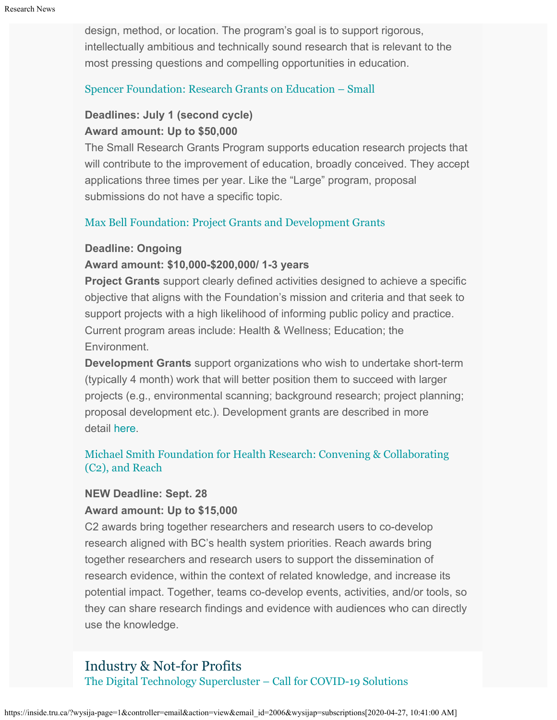design, method, or location. The program's goal is to support rigorous, intellectually ambitious and technically sound research that is relevant to the most pressing questions and compelling opportunities in education.

#### [Spencer Foundation: Research Grants on Education – Small](https://www.spencer.org/grant_types/small-research-grant)

### **Deadlines: July 1 (second cycle) Award amount: Up to \$50,000**

The Small Research Grants Program supports education research projects that will contribute to the improvement of education, broadly conceived. They accept applications three times per year. Like the "Large" program, proposal submissions do not have a specific topic.

#### [Max Bell Foundation: Project Grants and Development Grants](https://maxbell.org/our-work/granting/types-programs/)

#### **Deadline: Ongoing**

#### **Award amount: \$10,000-\$200,000/ 1-3 years**

**Project Grants** support clearly defined activities designed to achieve a specific objective that aligns with the Foundation's mission and criteria and that seek to support projects with a high likelihood of informing public policy and practice. Current program areas include: Health & Wellness; Education; the Environment.

**Development Grants** support organizations who wish to undertake short-term (typically 4 month) work that will better position them to succeed with larger projects (e.g., environmental scanning; background research; project planning; proposal development etc.). Development grants are described in more detail [here](https://maxbell.org/our-work/types-programs/).

### [Michael Smith Foundation for Health Research: Convening & Collaborating](https://www.msfhr.org/2020-convening-collaborating-competition) [\(C2\), and Reach](https://www.msfhr.org/2020-convening-collaborating-competition)

#### **NEW Deadline: Sept. 28**

#### **Award amount: Up to \$15,000**

C2 awards bring together researchers and research users to co-develop research aligned with BC's health system priorities. Reach awards bring together researchers and research users to support the dissemination of research evidence, within the context of related knowledge, and increase its potential impact. Together, teams co-develop events, activities, and/or tools, so they can share research findings and evidence with audiences who can directly use the knowledge.

# Industry & Not-for Profits

[The Digital Technology Supercluster – Call for COVID-19 Solutions](https://www.digitalsupercluster.ca/new-covid-19-program/)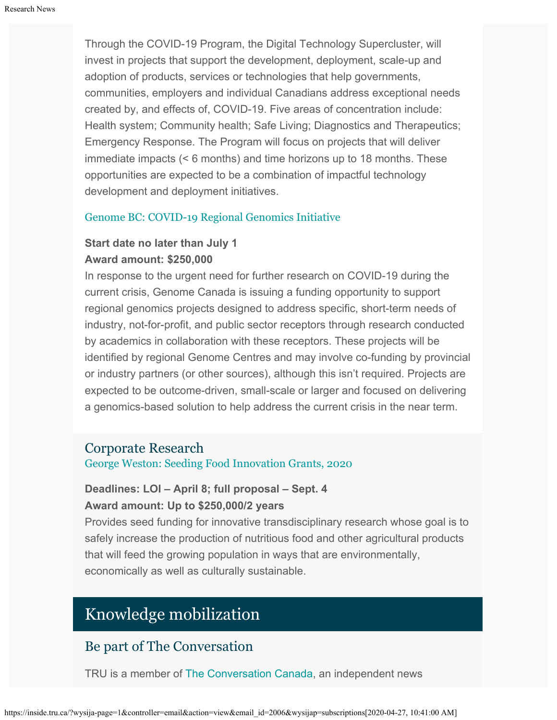Through the COVID-19 Program, the Digital Technology Supercluster, will invest in projects that support the development, deployment, scale-up and adoption of products, services or technologies that help governments, communities, employers and individual Canadians address exceptional needs created by, and effects of, COVID-19. Five areas of concentration include: Health system; Community health; Safe Living; Diagnostics and Therapeutics; Emergency Response. The Program will focus on projects that will deliver immediate impacts (< 6 months) and time horizons up to 18 months. These opportunities are expected to be a combination of impactful technology development and deployment initiatives.

#### [Genome BC: COVID-19 Regional Genomics Initiative](https://www.genomebc.ca/funding-opportunity/covid-19-regional-genomics-initiative)

## **Start date no later than July 1 Award amount: \$250,000**

In response to the urgent need for further research on COVID-19 during the current crisis, Genome Canada is issuing a funding opportunity to support regional genomics projects designed to address specific, short-term needs of industry, not-for-profit, and public sector receptors through research conducted by academics in collaboration with these receptors. These projects will be identified by regional Genome Centres and may involve co-funding by provincial or industry partners (or other sources), although this isn't required. Projects are expected to be outcome-driven, small-scale or larger and focused on delivering a genomics-based solution to help address the current crisis in the near term.

#### Corporate Research

[George Weston: Seeding Food Innovation Grants, 2020](http://www.weston.ca/en/Research-Grants.aspx)

## **Deadlines: LOI – April 8; full proposal – Sept. 4 Award amount: Up to \$250,000/2 years**

Provides seed funding for innovative transdisciplinary research whose goal is to safely increase the production of nutritious food and other agricultural products that will feed the growing population in ways that are environmentally, economically as well as culturally sustainable.

# Knowledge mobilization

# Be part of The Conversation

TRU is a member of [The Conversation Canada](https://theconversation.com/ca), an independent news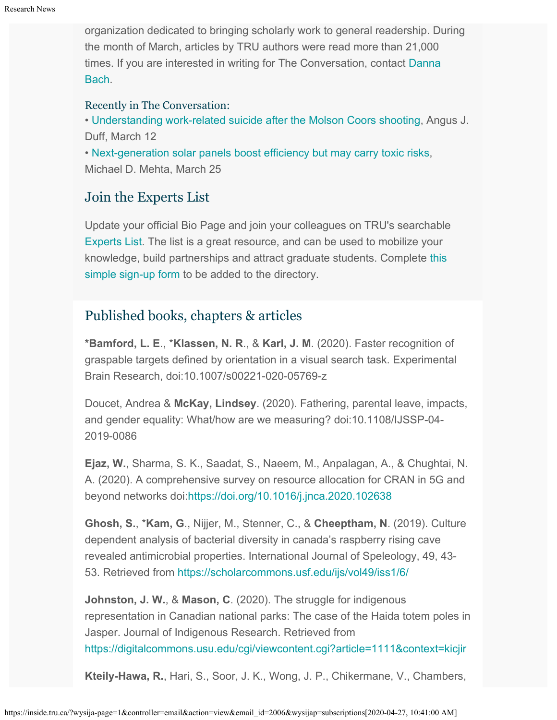organization dedicated to bringing scholarly work to general readership. During the month of March, articles by TRU authors were read more than 21,000 times. If you are interested in writing for The Conversation, contact [Danna](mailto:dbach@tru.ca) [Bach](mailto:dbach@tru.ca).

### Recently in The Conversation:

• [Understanding work-related suicide after the Molson Coors shooting,](https://theconversation.com/understanding-work-related-suicide-after-the-molson-coors-shooting-132654?utm_medium=email&utm_campaign=Impact%20Report%20for%20Thompson%20Rivers%20University%20March%202020&utm_content=Impact%20Report%20for%20Thompson%20Rivers%20University%20March%202020+CID_76f9134e4a123838788be55d7e711257&utm_source=campaign_monitor_ca&utm_term=Understanding%20work-related%20suicide%20after%20the%20Molson%20Coors%20shooting) Angus J. Duff, March 12

• [Next-generation solar panels boost efficiency but may carry toxic risks](https://theconversation.com/next-generation-solar-panels-boost-efficiency-but-may-carry-toxic-risks-130921?utm_medium=email&utm_campaign=Impact%20Report%20for%20Thompson%20Rivers%20University%20March%202020&utm_content=Impact%20Report%20for%20Thompson%20Rivers%20University%20March%202020+CID_76f9134e4a123838788be55d7e711257&utm_source=campaign_monitor_ca&utm_term=Next-generation%20solar%20panels%20boost%20efficiency%20but%20may%20carry%20toxic%20risks), Michael D. Mehta, March 25

# Join the Experts List

Update your official Bio Page and join your colleagues on TRU's searchable [Experts List](https://inside.tru.ca/find-an-expert/experts-registration-update/). The list is a great resource, and can be used to mobilize your knowledge, build partnerships and attract graduate students. Complete [this](https://inside.tru.ca/find-an-expert/experts-registration-update/) [simple sign-up form](https://inside.tru.ca/find-an-expert/experts-registration-update/) to be added to the directory.

# Published books, chapters & articles

**\*Bamford, L. E**., \***Klassen, N. R**., & **Karl, J. M**. (2020). Faster recognition of graspable targets defined by orientation in a visual search task. Experimental Brain Research, doi:10.1007/s00221-020-05769-z

Doucet, Andrea & **McKay, Lindsey**. (2020). Fathering, parental leave, impacts, and gender equality: What/how are we measuring? doi:10.1108/IJSSP-04- 2019-0086

**Ejaz, W.**, Sharma, S. K., Saadat, S., Naeem, M., Anpalagan, A., & Chughtai, N. A. (2020). A comprehensive survey on resource allocation for CRAN in 5G and beyond networks doi:<https://doi.org/10.1016/j.jnca.2020.102638>

**Ghosh, S.**, \***Kam, G**., Nijjer, M., Stenner, C., & **Cheeptham, N**. (2019). Culture dependent analysis of bacterial diversity in canada's raspberry rising cave revealed antimicrobial properties. International Journal of Speleology, 49, 43- 53. Retrieved from<https://scholarcommons.usf.edu/ijs/vol49/iss1/6/>

**Johnston, J. W.**, & **Mason, C**. (2020). The struggle for indigenous representation in Canadian national parks: The case of the Haida totem poles in Jasper. Journal of Indigenous Research. Retrieved from <https://digitalcommons.usu.edu/cgi/viewcontent.cgi?article=1111&context=kicjir>

**Kteily-Hawa, R.**, Hari, S., Soor, J. K., Wong, J. P., Chikermane, V., Chambers,